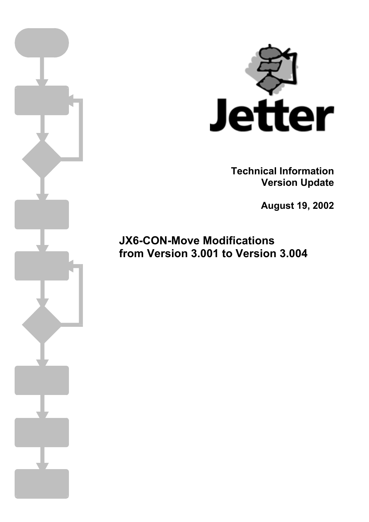

**Technical Information Version Update** 

**August 19, 2002** 

**JX6-CON-Move Modifications from Version 3.001 to Version 3.004**

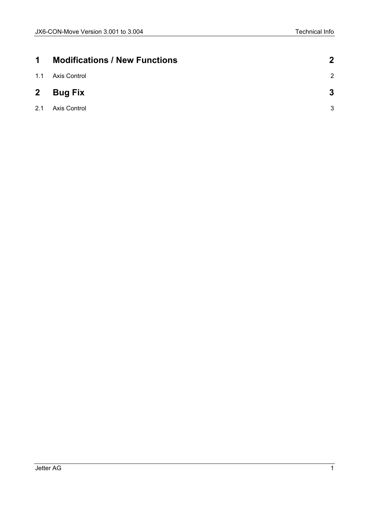| $\blacktriangleleft$ | <b>Modifications / New Functions</b> | $\mathbf 2$    |
|----------------------|--------------------------------------|----------------|
| 1.1                  | Axis Control                         | $\overline{2}$ |
| $\mathbf{2}$         | <b>Bug Fix</b>                       | 3              |
| 2.1                  | Axis Control                         | 3              |
|                      |                                      |                |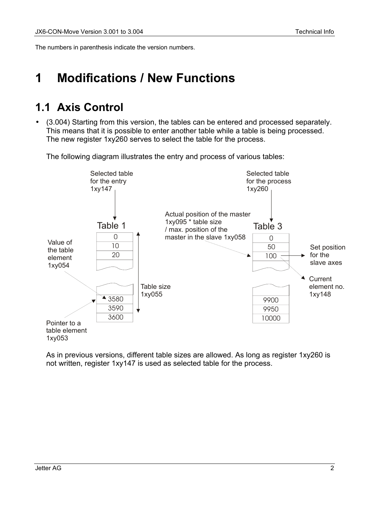<span id="page-2-0"></span>The numbers in parenthesis indicate the version numbers.

## **1 Modifications / New Functions**

## **1.1 Axis Control**

• (3.004) Starting from this version, the tables can be entered and processed separately. This means that it is possible to enter another table while a table is being processed. The new register 1xy260 serves to select the table for the process.

The following diagram illustrates the entry and process of various tables:



As in previous versions, different table sizes are allowed. As long as register 1xy260 is not written, register 1xy147 is used as selected table for the process.